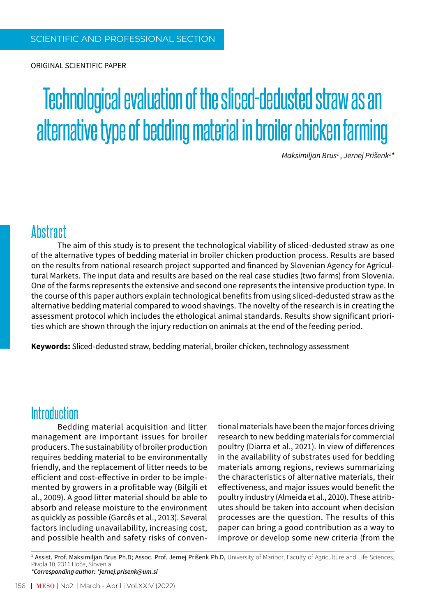Original scientific paper

# Technological evaluation of the sliced-dedusted straw as an alternative type of bedding material in broiler chicken farming

*Maksimiljan Brus1 , Jernej Prišenk<sup>1</sup> \**

### **Abstract**

The aim of this study is to present the technological viability of sliced-dedusted straw as one of the alternative types of bedding material in broiler chicken production process. Results are based on the results from national research project supported and financed by Slovenian Agency for Agricultural Markets. The input data and results are based on the real case studies (two farms) from Slovenia. One of the farms represents the extensive and second one represents the intensive production type. In the course of this paper authors explain technological benefits from using sliced-dedusted straw as the alternative bedding material compared to wood shavings. The novelty of the research is in creating the assessment protocol which includes the ethological animal standards. Results show significant priorities which are shown through the injury reduction on animals at the end of the feeding period.

**Keywords:** Sliced-dedusted straw, bedding material, broiler chicken, technology assessment

## **Introduction**

Bedding material acquisition and litter management are important issues for broiler producers. The sustainability of broiler production requires bedding material to be environmentally friendly, and the replacement of litter needs to be efficient and cost-effective in order to be implemented by growers in a profitable way (Bilgili et al., 2009). A good litter material should be able to absorb and release moisture to the environment as quickly as possible (Garcês et al., 2013). Several factors including unavailability, increasing cost, and possible health and safety risks of conventional materials have been the major forces driving research to new bedding materials for commercial poultry (Diarra et al., 2021). In view of differences in the availability of substrates used for bedding materials among regions, reviews summarizing the characteristics of alternative materials, their effectiveness, and major issues would benefit the poultry industry (Almeida et al., 2010). These attributes should be taken into account when decision processes are the question. The results of this paper can bring a good contribution as a way to improve or develop some new criteria (from the

<sup>1</sup> Assist. Prof. Maksimiljan Brus Ph.D; Assoc. Prof. Jernej Prišenk Ph.D, University of Maribor, Faculty of Agriculture and Life Sciences, Pivola 10, 2311 Hoče, Slovenia *\*Corresponding author: \*jernej.prisenk@um.si*

156 MESO | No2. | March - April | Vol.XXIV (2022)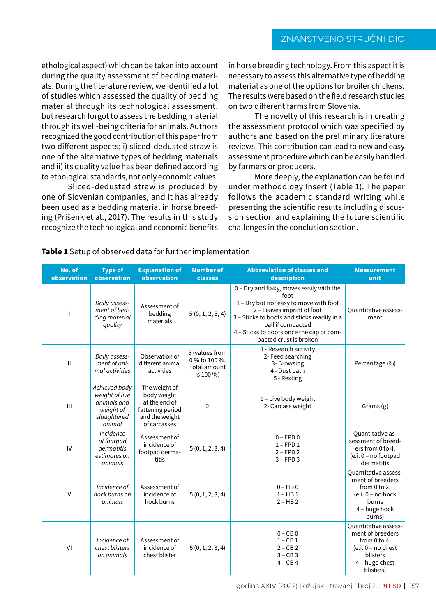#### ZNANSTVENO STRUČNI DIO

ethological aspect) which can be taken into account during the quality assessment of bedding materials. During the literature review, we identified a lot of studies which assessed the quality of bedding material through its technological assessment, but research forgot to assess the bedding material through its well-being criteria for animals. Authors recognized the good contribution of this paper from two different aspects; i) sliced-dedusted straw is one of the alternative types of bedding materials and ii) its quality value has been defined according to ethological standards, not only economic values.

Sliced-dedusted straw is produced by one of Slovenian companies, and it has already been used as a bedding material in horse breeding (Prišenk et al., 2017). The results in this study recognize the technological and economic benefits

in horse breeding technology. From this aspect it is necessary to assess this alternative type of bedding material as one of the options for broiler chickens. The results were based on the field research studies on two different farms from Slovenia.

The novelty of this research is in creating the assessment protocol which was specified by authors and based on the preliminary literature reviews. This contribution can lead to new and easy assessment procedure which can be easily handled by farmers or producers.

More deeply, the explanation can be found under methodology Insert (Table 1). The paper follows the academic standard writing while presenting the scientific results including discussion section and explaining the future scientific challenges in the conclusion section.

| No. of<br>observation | <b>Type of</b><br>observation                                                        | <b>Explanation of</b><br>observation                                                                | <b>Number of</b><br>classes                                  | <b>Abbreviation of classes and</b><br>description                                                                                                                                                                                                                  | <b>Measurement</b><br>unit                                                                                                          |
|-----------------------|--------------------------------------------------------------------------------------|-----------------------------------------------------------------------------------------------------|--------------------------------------------------------------|--------------------------------------------------------------------------------------------------------------------------------------------------------------------------------------------------------------------------------------------------------------------|-------------------------------------------------------------------------------------------------------------------------------------|
|                       | Daily assess-<br>ment of bed-<br>ding material<br>quality                            | Assessment of<br>bedding<br>materials                                                               | 5(0, 1, 2, 3, 4)                                             | 0 - Dry and flaky, moves easily with the<br>foot<br>1 - Dry but not easy to move with foot<br>2 - Leaves imprint of foot<br>3 - Sticks to boots and sticks readily in a<br>ball if compacted<br>4 - Sticks to boots once the cap or com-<br>pacted crust is broken | Quantitative assess-<br>ment                                                                                                        |
| $\mathbf{II}$         | Daily assess-<br>ment of ani-<br>mal activities                                      | Observation of<br>different animal<br>activities                                                    | 5 (values from<br>0 % to 100 %.<br>Total amount<br>is 100 %) | 1 - Research activity<br>2- Feed searching<br>3- Browsing<br>4 - Dust bath<br>5 - Resting                                                                                                                                                                          | Percentage (%)                                                                                                                      |
| $\mathbf{III}$        | Achieved body<br>weight of live<br>animals and<br>weight of<br>slaughtered<br>animal | The weight of<br>body weight<br>at the end of<br>fattening period<br>and the weight<br>of carcasses | $\overline{2}$                                               | 1 - Live body weight<br>2- Carcass weight                                                                                                                                                                                                                          | Grams(g)                                                                                                                            |
| IV                    | Incidence<br>of footpad<br>dermatitis<br>estimates on<br>animals                     | Assessment of<br>incidence of<br>footpad derma-<br>titis                                            | 5(0, 1, 2, 3, 4)                                             | $0 - FPD0$<br>$1 - FPD1$<br>$2 - FPD2$<br>$3 - FPD3$                                                                                                                                                                                                               | <b>Quantitative as-</b><br>sessment of breed-<br>ers from 0 to 4.<br>$(e.i. 0 - no footpad)$<br>dermatitis                          |
| $\vee$                | Incidence of<br>hock burns on<br>animals                                             | Assessment of<br>incidence of<br>hock burns                                                         | 5(0, 1, 2, 3, 4)                                             | $0 - HB0$<br>$1 - HB1$<br>$2 - HB2$                                                                                                                                                                                                                                | Quantitative assess-<br>ment of breeders<br>from $0$ to $2$ .<br>$(e.i. 0 - no hock)$<br>burns<br>4 - huge hock<br>burns)           |
| VI                    | Incidence of<br>chest blisters<br>on animals                                         | Assessment of<br>incidence of<br>chest blister                                                      | 5(0, 1, 2, 3, 4)                                             | $0 - CB 0$<br>$1 - CB$ 1<br>$2 - CB2$<br>$3 - CB3$<br>$4 - CB$ 4                                                                                                                                                                                                   | <b>Ouantitative assess-</b><br>ment of breeders<br>from 0 to 4.<br>$(e.i. 0 - no chest)$<br>blisters<br>4 - huge chest<br>blisters) |

#### **Table 1** Setup of observed data for further implementation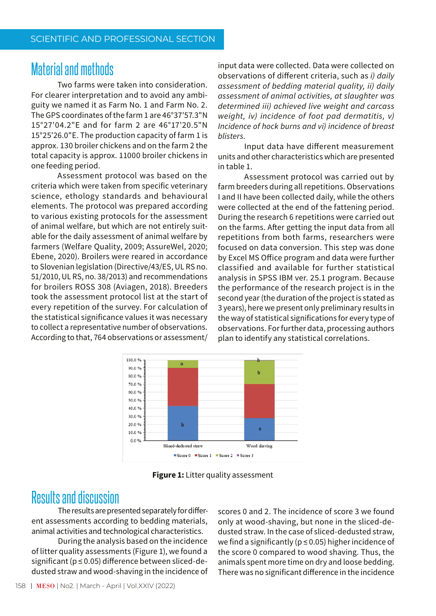## **Material and methods**

Two farms were taken into consideration. For clearer interpretation and to avoid any ambiguity we named it as Farm No. 1 and Farm No. 2. The GPS coordinates of the farm 1 are 46°37'57.3"N 15°27'04.2"E and for farm 2 are 46°17'20.5"N 15°25'26.0"E. The production capacity of farm 1 is approx. 130 broiler chickens and on the farm 2 the total capacity is approx. 11000 broiler chickens in one feeding period.

Assessment protocol was based on the criteria which were taken from specific veterinary science, ethology standards and behavioural elements. The protocol was prepared according to various existing protocols for the assessment of animal welfare, but which are not entirely suitable for the daily assessment of animal welfare by farmers (Welfare Quality, 2009; AssureWel, 2020; Ebene, 2020). Broilers were reared in accordance to Slovenian legislation (Directive/43/ES, ULRS no. 51/2010, UL RS, no. 38/2013) and recommendations for broilers ROSS 308 (Aviagen, 2018). Breeders took the assessment protocol list at the start of every repetition of the survey. For calculation of the statistical significance values it was necessary to collect a representative number of observations. According to that, 764 observations or assessment/

input data were collected. Data were collected on observations of different criteria, such as i) daily assessment of bedding material quality, ii) daily assessment of animal activities, at slaughter was determined iii) achieved live weight and carcass weight, iv) incidence of foot pad dermatitis, v) Incidence of hock burns and vi) incidence of breast **hlisters** 

Input data have different measurement units and other characteristics which are presented in table 1.

Assessment protocol was carried out by farm breeders during all repetitions. Observations I and II have been collected daily, while the others were collected at the end of the fattening period. During the research 6 repetitions were carried out on the farms. After getting the input data from all repetitions from both farms, researchers were focused on data conversion. This step was done by Excel MS Office program and data were further classified and available for further statistical analysis in SPSS IBM ver. 25.1 program. Because the performance of the research project is in the second year (the duration of the project is stated as 3 years), here we present only preliminary results in the way of statistical significations for every type of observations. For further data, processing authors plan to identify any statistical correlations.



Figure 1: Litter quality assessment

## **Results and discussion**

The results are presented separately for different assessments according to bedding materials, animal activities and technological characteristics.

During the analysis based on the incidence of litter quality assessments (Figure 1), we found a significant (p ≤ 0.05) difference between sliced-dedusted straw and wood-shaving in the incidence of scores 0 and 2. The incidence of score 3 we found only at wood-shaving, but none in the sliced-dedusted straw. In the case of sliced-dedusted straw, we find a significantly ( $p \le 0.05$ ) higher incidence of the score 0 compared to wood shaving. Thus, the animals spent more time on dry and loose bedding. There was no significant difference in the incidence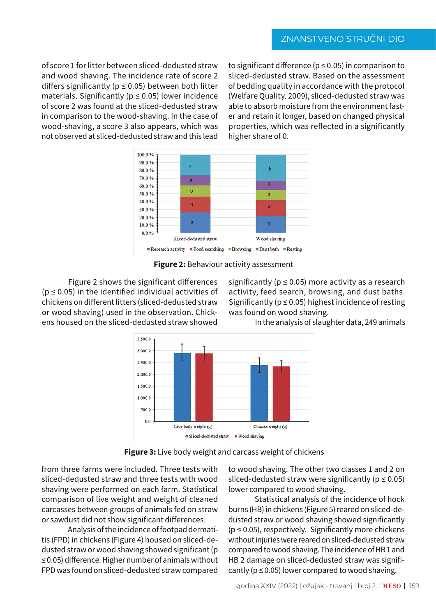of score 1 for litter between sliced-dedusted straw and wood shaving. The incidence rate of score 2 differs significantly ( $p \le 0.05$ ) between both litter materials. Significantly ( $p \le 0.05$ ) lower incidence of score 2 was found at the sliced-dedusted straw in comparison to the wood-shaving. In the case of wood-shaving, a score 3 also appears, which was not observed at sliced-dedusted straw and this lead

to significant difference ( $p \le 0.05$ ) in comparison to sliced-dedusted straw. Based on the assessment of bedding quality in accordance with the protocol (Welfare Quality, 2009), sliced-dedusted straw was able to absorb moisture from the environment faster and retain it longer, based on changed physical properties, which was reflected in a significantly higher share of 0.





Figure 2 shows the significant differences  $(p \le 0.05)$  in the identified individual activities of chickens on different litters (sliced-dedusted straw or wood shaving) used in the observation. Chickens housed on the sliced-dedusted straw showed

significantly ( $p \le 0.05$ ) more activity as a research activity, feed search, browsing, and dust baths. Significantly ( $p \le 0.05$ ) highest incidence of resting was found on wood shaving.

In the analysis of slaughter data, 249 animals



Figure 3: Live body weight and carcass weight of chickens

from three farms were included. Three tests with sliced-dedusted straw and three tests with wood shaving were performed on each farm. Statistical comparison of live weight and weight of cleaned carcasses between groups of animals fed on straw or sawdust did not show significant differences.

Analysis of the incidence of footpad dermatitis (FPD) in chickens (Figure 4) housed on sliced-dedusted straw or wood shaving showed significant (p  $\leq$  0.05) difference. Higher number of animals without FPD was found on sliced-dedusted straw compared

to wood shaving. The other two classes 1 and 2 on sliced-dedusted straw were significantly ( $p \le 0.05$ ) lower compared to wood shaving.

Statistical analysis of the incidence of hock burns (HB) in chickens (Figure 5) reared on sliced-dedusted straw or wood shaving showed significantly ( $p \le 0.05$ ), respectively. Significantly more chickens without injuries were reared on sliced-dedusted straw compared to wood shaving. The incidence of HB1 and HB 2 damage on sliced-dedusted straw was significantly ( $p \le 0.05$ ) lower compared to wood shaving.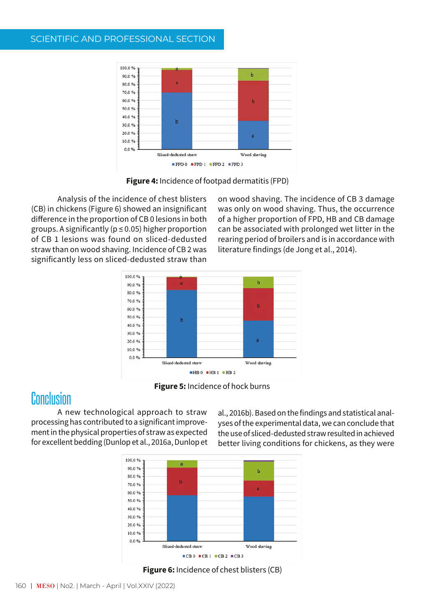#### SCIENTIFIC AND PROFESSIONAL SECTION



Figure 4: Incidence of footpad dermatitis (FPD)

Analysis of the incidence of chest blisters (CB) in chickens (Figure 6) showed an insignificant difference in the proportion of CB 0 lesions in both groups. A significantly ( $p \le 0.05$ ) higher proportion of CB 1 lesions was found on sliced-dedusted straw than on wood shaving. Incidence of CB 2 was significantly less on sliced-dedusted straw than

on wood shaving. The incidence of CB 3 damage was only on wood shaving. Thus, the occurrence of a higher proportion of FPD, HB and CB damage can be associated with prolonged wet litter in the rearing period of broilers and is in accordance with literature findings (de Jong et al., 2014).



Figure 5: Incidence of hock burns

## Conclusion

A new technological approach to straw processing has contributed to a significant improvement in the physical properties of straw as expected for excellent bedding (Dunlop et al., 2016a, Dunlop et

al., 2016b). Based on the findings and statistical analyses of the experimental data, we can conclude that the use of sliced-dedusted straw resulted in achieved better living conditions for chickens, as they were



Figure 6: Incidence of chest blisters (CB)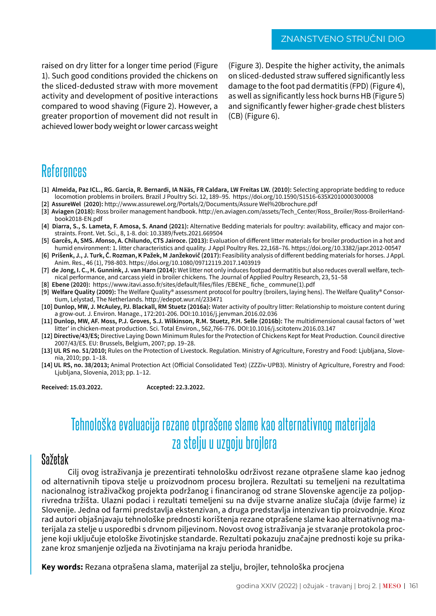raised on dry litter for a longer time period (Figure 1). Such good conditions provided the chickens on the sliced-dedusted straw with more movement activity and development of positive interactions compared to wood shaving (Figure 2). However, a greater proportion of movement did not result in achieved lower body weight or lower carcass weight (Figure 3). Despite the higher activity, the animals on sliced-dedusted straw suffered significantly less damage to the foot pad dermatitis (FPD) (Figure 4), as well as significantly less hock burns HB (Figure 5) and significantly fewer higher-grade chest blisters (CB) (Figure 6).

# References

- [1] Almeida, Paz ICL., RG. Garcia, R. Bernardi, IA Nääs, FR Caldara, LW Freitas LW. (2010): Selecting appropriate bedding to reduce locomotion problems in broilers. Brazil J Poultry Sci. 12, 189–95. https://doi.org/10.1590/S1516-635X2010000300008
- **[2] AssureWel (2020):** http://www.assurewel.org/Portals/2/Documents/Assure Wel%20brochure.pdf
- **[3] Aviagen (2018):** Ross broiler management handbook. http://en.aviagen.com/assets/Tech\_Center/Ross\_Broiler/Ross-BroilerHandbook2018-EN.pdf
- **[4] Diarra, S., S. Lameta, F. Amosa, S. Anand (2021):** Alternative Bedding materials for poultry: availability, efficacy and major constraints. Front. Vet. Sci., 8, 1-8. doi: 10.3389/fvets.2021.669504
- **[5] Garcês, A, SMS. Afonso, A. Chilundo, CTS Jairoce. (2013):** Evaluation of different litter materials for broiler production in a hot and humid environment: 1. litter characteristics and quality. J Appl Poultry Res. 22,168–76. https://doi.org/10.3382/japr.2012-00547
- **[6] Prišenk, J., J. Turk, Č. Rozman, K Pažek, M Janžekovič (2017):** Feasibility analysis of different bedding materials for horses. J Appl. Anim. Res., 46 (1), 798-803. https://doi.org/10.1080/09712119.2017.1403919
- **[7] de Jong, I. C., H. Gunnink, J. van Harn (2014):** Wet litter not only induces footpad dermatitis but also reduces overall welfare, technical performance, and carcass yield in broiler chickens. The Journal of Applied Poultry Research, 23, 51–58
- **[8] Ebene (2020):** https://www.itavi.asso.fr/sites/default/files/files /EBENE\_ fiche\_ commune(1).pdf
- **[9] Welfare Quality (2009):** The Welfare Quality® assessment protocol for poultry (broilers, laying hens). The Welfare Quality® Consortium, Lelystad, The Netherlands. http://edepot.wur.nl/233471
- **[10] Dunlop, MW, J. McAuley, PJ. Blackall, RM Stuetz (2016a):** Water activity of poultry litter: Relationship to moisture content during a grow-out. J. Environ. Manage., 172:201-206. DOI:10.1016/j.jenvman.2016.02.036
- [11] Dunlop, MW, AF. Moss, P.J. Groves, S.J. Wilkinson, R.M. Stuetz, P.H. Selle (2016b): The multidimensional causal factors of 'wet litter' in chicken-meat production. Sci. Total Environ., 562,766-776. DOI:10.1016/j.scitotenv.2016.03.147
- **[12] Directive/43/ES;** Directive Laying Down Minimum Rules for the Protection of Chickens Kept for Meat Production. Council directive 2007/43/ES. EU: Brussels, Belgium, 2007; pp. 19–28.
- **[13] UL RS no. 51/2010;** Rules on the Protection of Livestock. Regulation. Ministry of Agriculture, Forestry and Food: Ljubljana, Slovenia, 2010; pp. 1–18.
- **[14] UL RS, no. 38/2013;** Animal Protection Act (Official Consolidated Text) (ZZZiv-UPB3). Ministry of Agriculture, Forestry and Food: Ljubljana, Slovenia, 2013; pp. 1–12.

**Received: 15.03.2022. Accepted: 22.3.2022.**

# Tehnološka evaluacija rezane otprašene slame kao alternativnog materijala za stelju u uzgoju brojlera

#### Sažetak

Cilj ovog istraživanja je prezentirati tehnološku održivost rezane otprašene slame kao jednog od alternativnih tipova stelje u proizvodnom procesu brojlera. Rezultati su temeljeni na rezultatima nacionalnog istraživačkog projekta podržanog i financiranog od strane Slovenske agencije za poljoprivredna tržišta. Ulazni podaci i rezultati temeljeni su na dvije stvarne analize slučaja (dvije farme) iz Slovenije. Jedna od farmi predstavlja ekstenzivan, a druga predstavlja intenzivan tip proizvodnje. Kroz rad autori objašnjavaju tehnološke prednosti korištenja rezane otprašene slame kao alternativnog materijala za stelje u usporedbi s drvnom piljevinom. Novost ovog istraživanja je stvaranje protokola procjene koji uključuje etološke životinjske standarde. Rezultati pokazuju značajne prednosti koje su prikazane kroz smanjenje ozljeda na životinjama na kraju perioda hranidbe.

**Key words:** Rezana otprašena slama, materijal za stelju, brojler, tehnološka procjena